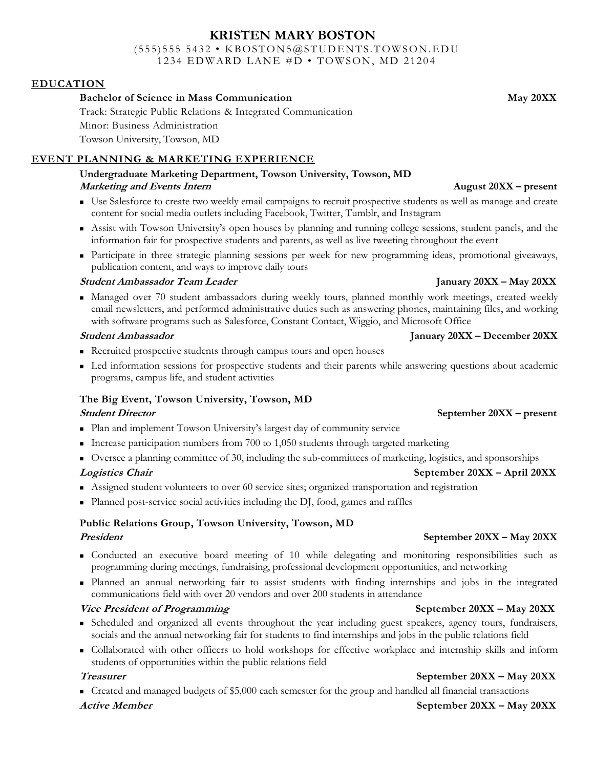## **KRISTEN MARY BOSTON**

 $(555)$  555 5432 • KBOSTON5@STUDENTS.TOWSON.EDU 1234 EDWARD LANE #D • TOWSON, MD 21204

### **EDUCATION**

### **Bachelor of Science in Mass Communication May 20XX**

Track: Strategic Public Relations & Integrated Communication Minor: Business Administration Towson University, Towson, MD

### **EVENT PLANNING & MARKETING EXPERIENCE**

### **Undergraduate Marketing Department, Towson University, Towson, MD Marketing and Events Intern August 20XX – present**

- Use Salesforce to create two weekly email campaigns to recruit prospective students as well as manage and create content for social media outlets including Facebook, Twitter, Tumblr, and Instagram
- Assist with Towson University's open houses by planning and running college sessions, student panels, and the information fair for prospective students and parents, as well as live tweeting throughout the event
- Participate in three strategic planning sessions per week for new programming ideas, promotional giveaways, publication content, and ways to improve daily tours

### **Student Ambassador Team Leader January 20XX – May 20XX**

 Managed over 70 student ambassadors during weekly tours, planned monthly work meetings, created weekly email newsletters, and performed administrative duties such as answering phones, maintaining files, and working with software programs such as Salesforce, Constant Contact, Wiggio, and Microsoft Office

### **Student Ambassador January 20XX – December 20XX**

- Recruited prospective students through campus tours and open houses
- Led information sessions for prospective students and their parents while answering questions about academic programs, campus life, and student activities

### **The Big Event, Towson University, Towson, MD**

### **Student Director September 20XX – present**

- Plan and implement Towson University's largest day of community service
- Increase participation numbers from  $700$  to  $1,050$  students through targeted marketing
- Oversee a planning committee of 30, including the sub-committees of marketing, logistics, and sponsorships

### **Logistics Chair September 20XX – April 20XX**

- Assigned student volunteers to over 60 service sites; organized transportation and registration
- Planned post-service social activities including the DJ, food, games and raffles

## **Public Relations Group, Towson University, Towson, MD**

- Conducted an executive board meeting of 10 while delegating and monitoring responsibilities such as programming during meetings, fundraising, professional development opportunities, and networking
- Planned an annual networking fair to assist students with finding internships and jobs in the integrated communications field with over 20 vendors and over 200 students in attendance

### *Vice President of Programming September 20XX – May 20XX*

- Scheduled and organized all events throughout the year including guest speakers, agency tours, fundraisers, socials and the annual networking fair for students to find internships and jobs in the public relations field
- Collaborated with other officers to hold workshops for effective workplace and internship skills and inform students of opportunities within the public relations field

■ Created and managed budgets of \$5,000 each semester for the group and handled all financial transactions

### **Active Member September 20XX – May 20XX**

### **Treasurer September 20XX – May 20XX**

## **President September 20XX – May 20XX**